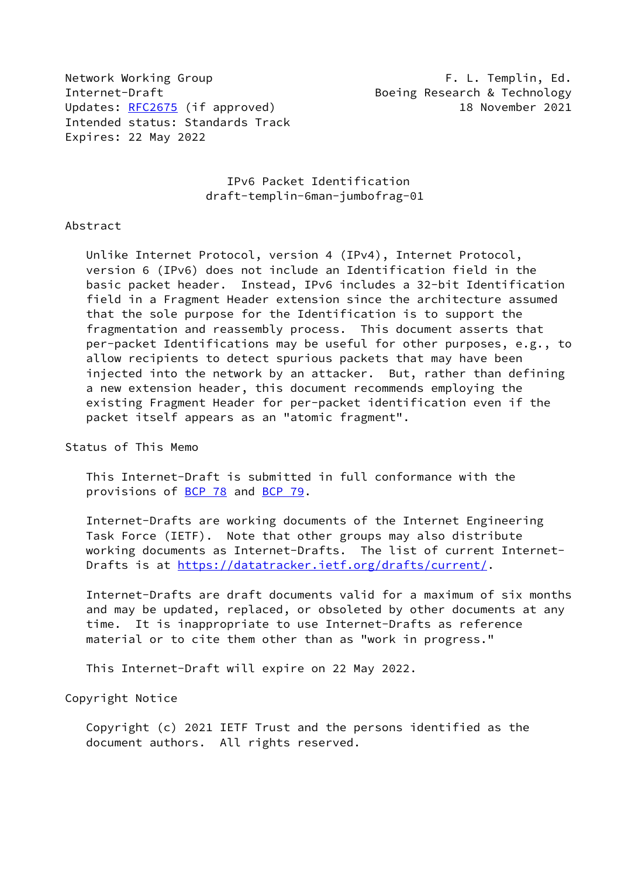Network Working Group **F. L. Templin, Ed.** Internet-Draft **Boeing Research & Technology** Updates: [RFC2675](https://datatracker.ietf.org/doc/pdf/rfc2675) (if approved) 18 November 2021 Intended status: Standards Track Expires: 22 May 2022

 IPv6 Packet Identification draft-templin-6man-jumbofrag-01

### Abstract

 Unlike Internet Protocol, version 4 (IPv4), Internet Protocol, version 6 (IPv6) does not include an Identification field in the basic packet header. Instead, IPv6 includes a 32-bit Identification field in a Fragment Header extension since the architecture assumed that the sole purpose for the Identification is to support the fragmentation and reassembly process. This document asserts that per-packet Identifications may be useful for other purposes, e.g., to allow recipients to detect spurious packets that may have been injected into the network by an attacker. But, rather than defining a new extension header, this document recommends employing the existing Fragment Header for per-packet identification even if the packet itself appears as an "atomic fragment".

### Status of This Memo

 This Internet-Draft is submitted in full conformance with the provisions of [BCP 78](https://datatracker.ietf.org/doc/pdf/bcp78) and [BCP 79](https://datatracker.ietf.org/doc/pdf/bcp79).

 Internet-Drafts are working documents of the Internet Engineering Task Force (IETF). Note that other groups may also distribute working documents as Internet-Drafts. The list of current Internet Drafts is at<https://datatracker.ietf.org/drafts/current/>.

 Internet-Drafts are draft documents valid for a maximum of six months and may be updated, replaced, or obsoleted by other documents at any time. It is inappropriate to use Internet-Drafts as reference material or to cite them other than as "work in progress."

This Internet-Draft will expire on 22 May 2022.

### Copyright Notice

 Copyright (c) 2021 IETF Trust and the persons identified as the document authors. All rights reserved.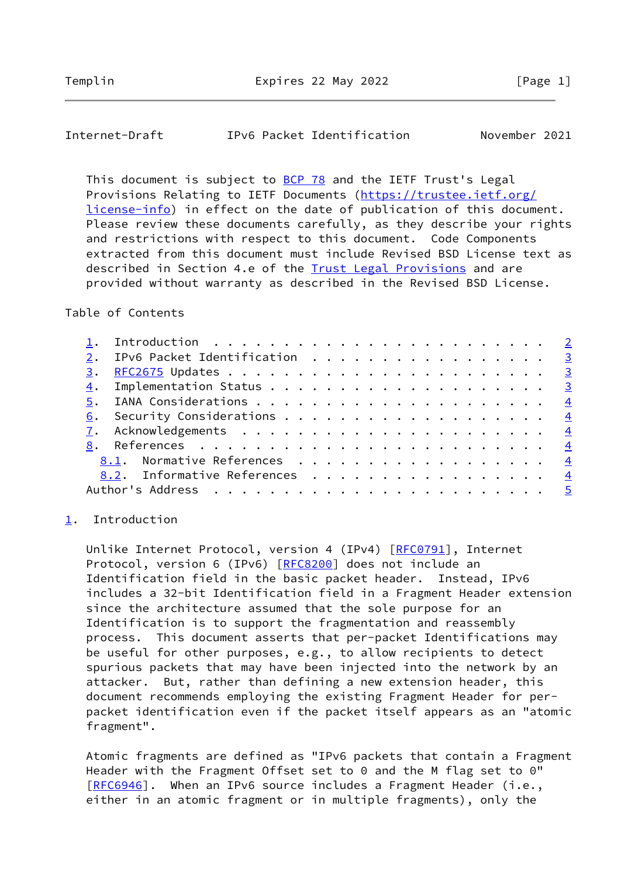<span id="page-1-1"></span>Internet-Draft IPv6 Packet Identification November 2021

This document is subject to [BCP 78](https://datatracker.ietf.org/doc/pdf/bcp78) and the IETF Trust's Legal Provisions Relating to IETF Documents ([https://trustee.ietf.org/](https://trustee.ietf.org/license-info) [license-info](https://trustee.ietf.org/license-info)) in effect on the date of publication of this document. Please review these documents carefully, as they describe your rights and restrictions with respect to this document. Code Components extracted from this document must include Revised BSD License text as described in Section 4.e of the [Trust Legal Provisions](https://trustee.ietf.org/license-info) and are provided without warranty as described in the Revised BSD License.

## Table of Contents

|  | 1. Introduction $\ldots \ldots \ldots \ldots \ldots \ldots \ldots \ldots \ldots$ |  |
|--|----------------------------------------------------------------------------------|--|
|  | 2. IPv6 Packet Identification 3                                                  |  |
|  |                                                                                  |  |
|  |                                                                                  |  |
|  |                                                                                  |  |
|  |                                                                                  |  |
|  |                                                                                  |  |
|  |                                                                                  |  |
|  | 8.1. Normative References 4                                                      |  |
|  | 8.2. Informative References 4                                                    |  |
|  |                                                                                  |  |

### <span id="page-1-0"></span>[1](#page-1-0). Introduction

Unlike Internet Protocol, version 4 (IPv4) [[RFC0791\]](https://datatracker.ietf.org/doc/pdf/rfc0791), Internet Protocol, version 6 (IPv6) [[RFC8200\]](https://datatracker.ietf.org/doc/pdf/rfc8200) does not include an Identification field in the basic packet header. Instead, IPv6 includes a 32-bit Identification field in a Fragment Header extension since the architecture assumed that the sole purpose for an Identification is to support the fragmentation and reassembly process. This document asserts that per-packet Identifications may be useful for other purposes, e.g., to allow recipients to detect spurious packets that may have been injected into the network by an attacker. But, rather than defining a new extension header, this document recommends employing the existing Fragment Header for per packet identification even if the packet itself appears as an "atomic fragment".

 Atomic fragments are defined as "IPv6 packets that contain a Fragment Header with the Fragment Offset set to 0 and the M flag set to 0" [\[RFC6946](https://datatracker.ietf.org/doc/pdf/rfc6946)]. When an IPv6 source includes a Fragment Header (i.e., either in an atomic fragment or in multiple fragments), only the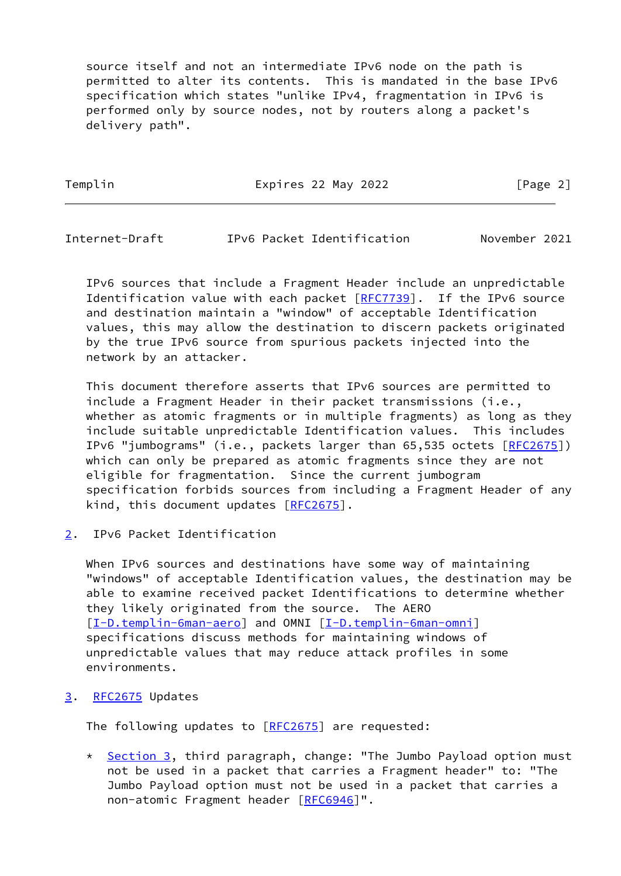source itself and not an intermediate IPv6 node on the path is permitted to alter its contents. This is mandated in the base IPv6 specification which states "unlike IPv4, fragmentation in IPv6 is performed only by source nodes, not by routers along a packet's delivery path".

Templin **Expires 22 May 2022 Expires 22 May 2022** [Page 2]

<span id="page-2-1"></span>Internet-Draft IPv6 Packet Identification November 2021

 IPv6 sources that include a Fragment Header include an unpredictable Identification value with each packet [[RFC7739](https://datatracker.ietf.org/doc/pdf/rfc7739)]. If the IPv6 source and destination maintain a "window" of acceptable Identification values, this may allow the destination to discern packets originated by the true IPv6 source from spurious packets injected into the network by an attacker.

 This document therefore asserts that IPv6 sources are permitted to include a Fragment Header in their packet transmissions (i.e., whether as atomic fragments or in multiple fragments) as long as they include suitable unpredictable Identification values. This includes IPv6 "jumbograms" (i.e., packets larger than 65,535 octets [[RFC2675\]](https://datatracker.ietf.org/doc/pdf/rfc2675)) which can only be prepared as atomic fragments since they are not eligible for fragmentation. Since the current jumbogram specification forbids sources from including a Fragment Header of any kind, this document updates [\[RFC2675](https://datatracker.ietf.org/doc/pdf/rfc2675)].

<span id="page-2-0"></span>[2](#page-2-0). IPv6 Packet Identification

When IPv6 sources and destinations have some way of maintaining "windows" of acceptable Identification values, the destination may be able to examine received packet Identifications to determine whether they likely originated from the source. The AERO [\[I-D.templin-6man-aero](#page-4-2)] and OMNI [\[I-D.templin-6man-omni\]](#page-4-3) specifications discuss methods for maintaining windows of unpredictable values that may reduce attack profiles in some environments.

# <span id="page-2-2"></span>[3](#page-2-2). [RFC2675](https://datatracker.ietf.org/doc/pdf/rfc2675) Updates

The following updates to [\[RFC2675](https://datatracker.ietf.org/doc/pdf/rfc2675)] are requested:

\* [Section 3,](#page-2-2) third paragraph, change: "The Jumbo Payload option must not be used in a packet that carries a Fragment header" to: "The Jumbo Payload option must not be used in a packet that carries a non-atomic Fragment header [[RFC6946](https://datatracker.ietf.org/doc/pdf/rfc6946)]".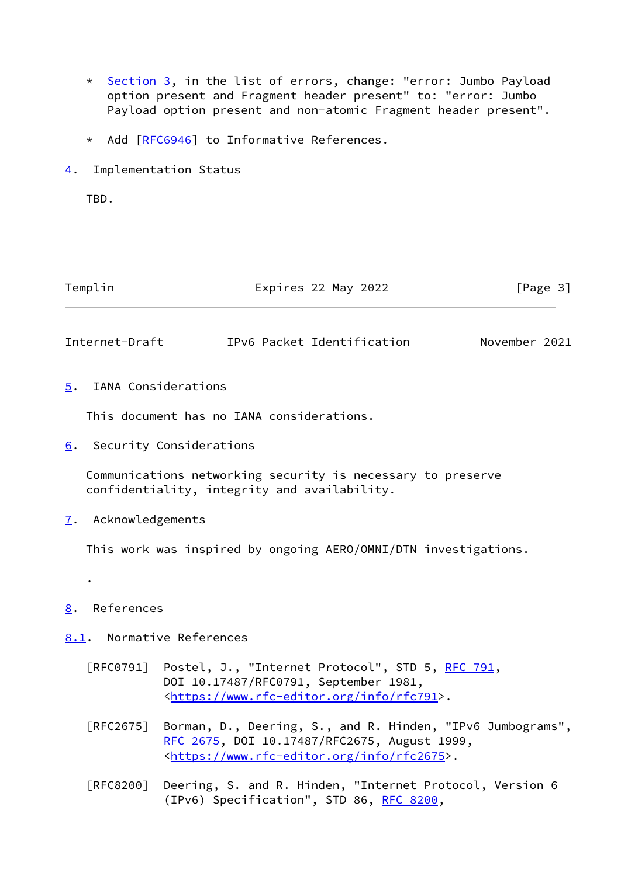- \* [Section 3,](#page-2-2) in the list of errors, change: "error: Jumbo Payload option present and Fragment header present" to: "error: Jumbo Payload option present and non-atomic Fragment header present".
- \* Add [\[RFC6946](https://datatracker.ietf.org/doc/pdf/rfc6946)] to Informative References.
- <span id="page-3-0"></span>[4](#page-3-0). Implementation Status

TBD.

| Templin | Expires 22 May 2022 | [Page 3] |
|---------|---------------------|----------|
|         |                     |          |

<span id="page-3-2"></span>Internet-Draft IPv6 Packet Identification November 2021

<span id="page-3-1"></span>[5](#page-3-1). IANA Considerations

This document has no IANA considerations.

<span id="page-3-3"></span>[6](#page-3-3). Security Considerations

 Communications networking security is necessary to preserve confidentiality, integrity and availability.

<span id="page-3-4"></span>[7](#page-3-4). Acknowledgements

This work was inspired by ongoing AERO/OMNI/DTN investigations.

<span id="page-3-5"></span>[8](#page-3-5). References

.

- <span id="page-3-6"></span>[8.1](#page-3-6). Normative References
	- [RFC0791] Postel, J., "Internet Protocol", STD 5, [RFC 791](https://datatracker.ietf.org/doc/pdf/rfc791), DOI 10.17487/RFC0791, September 1981, <<https://www.rfc-editor.org/info/rfc791>>.
	- [RFC2675] Borman, D., Deering, S., and R. Hinden, "IPv6 Jumbograms", [RFC 2675,](https://datatracker.ietf.org/doc/pdf/rfc2675) DOI 10.17487/RFC2675, August 1999, <[https://www.rfc-editor.org/info/rfc2675>](https://www.rfc-editor.org/info/rfc2675).
	- [RFC8200] Deering, S. and R. Hinden, "Internet Protocol, Version 6 (IPv6) Specification", STD 86, [RFC 8200](https://datatracker.ietf.org/doc/pdf/rfc8200),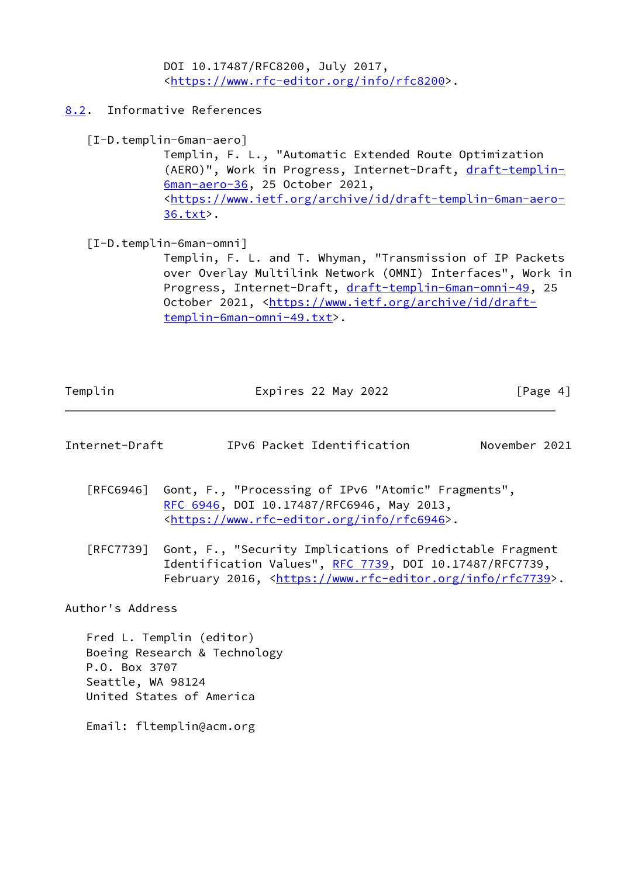DOI 10.17487/RFC8200, July 2017, <[https://www.rfc-editor.org/info/rfc8200>](https://www.rfc-editor.org/info/rfc8200).

<span id="page-4-0"></span>[8.2](#page-4-0). Informative References

<span id="page-4-2"></span>[I-D.templin-6man-aero]

 Templin, F. L., "Automatic Extended Route Optimization (AERO)", Work in Progress, Internet-Draft, [draft-templin-](https://datatracker.ietf.org/doc/pdf/draft-templin-6man-aero-36) [6man-aero-36,](https://datatracker.ietf.org/doc/pdf/draft-templin-6man-aero-36) 25 October 2021, <[https://www.ietf.org/archive/id/draft-templin-6man-aero-](https://www.ietf.org/archive/id/draft-templin-6man-aero-36.txt) [36.txt](https://www.ietf.org/archive/id/draft-templin-6man-aero-36.txt)>.

<span id="page-4-3"></span>[I-D.templin-6man-omni]

 Templin, F. L. and T. Whyman, "Transmission of IP Packets over Overlay Multilink Network (OMNI) Interfaces", Work in Progress, Internet-Draft, [draft-templin-6man-omni-49,](https://datatracker.ietf.org/doc/pdf/draft-templin-6man-omni-49) 25 October 2021, [<https://www.ietf.org/archive/id/draft](https://www.ietf.org/archive/id/draft-templin-6man-omni-49.txt) [templin-6man-omni-49.txt>](https://www.ietf.org/archive/id/draft-templin-6man-omni-49.txt).

| Templin | Expires 22 May 2022 | [Page 4] |
|---------|---------------------|----------|
|         |                     |          |

<span id="page-4-1"></span>

| Internet-Draft | IPv6 Packet Identification | November 2021 |  |
|----------------|----------------------------|---------------|--|
|                |                            |               |  |

- [RFC6946] Gont, F., "Processing of IPv6 "Atomic" Fragments", [RFC 6946,](https://datatracker.ietf.org/doc/pdf/rfc6946) DOI 10.17487/RFC6946, May 2013, <[https://www.rfc-editor.org/info/rfc6946>](https://www.rfc-editor.org/info/rfc6946).
- [RFC7739] Gont, F., "Security Implications of Predictable Fragment Identification Values", [RFC 7739,](https://datatracker.ietf.org/doc/pdf/rfc7739) DOI 10.17487/RFC7739, February 2016, <<https://www.rfc-editor.org/info/rfc7739>>.

Author's Address

 Fred L. Templin (editor) Boeing Research & Technology P.O. Box 3707 Seattle, WA 98124 United States of America

Email: fltemplin@acm.org